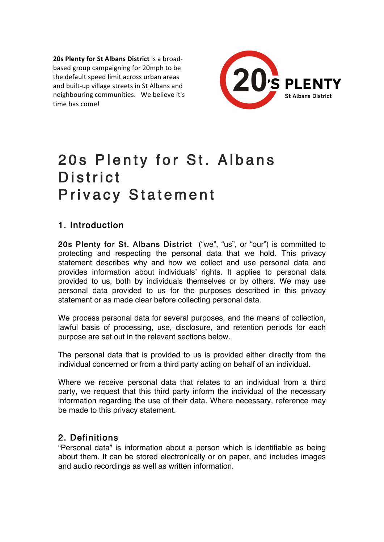**20s Plenty for St Albans District** is a broadbased group campaigning for 20mph to be the default speed limit across urban areas and built-up village streets in St Albans and neighbouring communities. We believe it's time has come!



# 20s Plenty for St. Albans **District** Privacy Statement

# 1. Introduction

20s Plenty for St. Albans District ("we", "us", or "our") is committed to protecting and respecting the personal data that we hold. This privacy statement describes why and how we collect and use personal data and provides information about individuals' rights. It applies to personal data provided to us, both by individuals themselves or by others. We may use personal data provided to us for the purposes described in this privacy statement or as made clear before collecting personal data.

We process personal data for several purposes, and the means of collection, lawful basis of processing, use, disclosure, and retention periods for each purpose are set out in the relevant sections below.

The personal data that is provided to us is provided either directly from the individual concerned or from a third party acting on behalf of an individual.

Where we receive personal data that relates to an individual from a third party, we request that this third party inform the individual of the necessary information regarding the use of their data. Where necessary, reference may be made to this privacy statement.

# 2. Definitions

"Personal data" is information about a person which is identifiable as being about them. It can be stored electronically or on paper, and includes images and audio recordings as well as written information.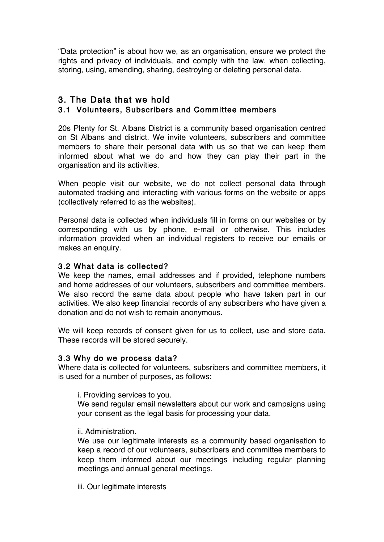"Data protection" is about how we, as an organisation, ensure we protect the rights and privacy of individuals, and comply with the law, when collecting, storing, using, amending, sharing, destroying or deleting personal data.

## 3. The Data that we hold 3.1 Volunteers, Subscribers and Committee members

20s Plenty for St. Albans District is a community based organisation centred on St Albans and district. We invite volunteers, subscribers and committee members to share their personal data with us so that we can keep them informed about what we do and how they can play their part in the organisation and its activities.

When people visit our website, we do not collect personal data through automated tracking and interacting with various forms on the website or apps (collectively referred to as the websites).

Personal data is collected when individuals fill in forms on our websites or by corresponding with us by phone, e-mail or otherwise. This includes information provided when an individual registers to receive our emails or makes an enquiry.

#### 3.2 What data is collected?

We keep the names, email addresses and if provided, telephone numbers and home addresses of our volunteers, subscribers and committee members. We also record the same data about people who have taken part in our activities. We also keep financial records of any subscribers who have given a donation and do not wish to remain anonymous.

We will keep records of consent given for us to collect, use and store data. These records will be stored securely.

#### 3.3 Why do we process data?

Where data is collected for volunteers, subsribers and committee members, it is used for a number of purposes, as follows:

#### i. Providing services to you.

We send regular email newsletters about our work and campaigns using your consent as the legal basis for processing your data.

#### ii. Administration.

We use our legitimate interests as a community based organisation to keep a record of our volunteers, subscribers and committee members to keep them informed about our meetings including regular planning meetings and annual general meetings.

iii. Our legitimate interests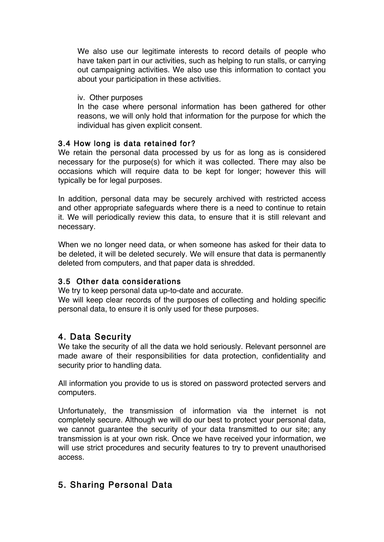We also use our legitimate interests to record details of people who have taken part in our activities, such as helping to run stalls, or carrying out campaigning activities. We also use this information to contact you about your participation in these activities.

#### iv. Other purposes

In the case where personal information has been gathered for other reasons, we will only hold that information for the purpose for which the individual has given explicit consent.

#### 3.4 How long is data retained for?

We retain the personal data processed by us for as long as is considered necessary for the purpose(s) for which it was collected. There may also be occasions which will require data to be kept for longer; however this will typically be for legal purposes.

In addition, personal data may be securely archived with restricted access and other appropriate safeguards where there is a need to continue to retain it. We will periodically review this data, to ensure that it is still relevant and necessary.

When we no longer need data, or when someone has asked for their data to be deleted, it will be deleted securely. We will ensure that data is permanently deleted from computers, and that paper data is shredded.

## 3.5 Other data considerations

We try to keep personal data up-to-date and accurate.

We will keep clear records of the purposes of collecting and holding specific personal data, to ensure it is only used for these purposes.

## 4. Data Security

We take the security of all the data we hold seriously. Relevant personnel are made aware of their responsibilities for data protection, confidentiality and security prior to handling data.

All information you provide to us is stored on password protected servers and computers.

Unfortunately, the transmission of information via the internet is not completely secure. Although we will do our best to protect your personal data, we cannot guarantee the security of your data transmitted to our site; any transmission is at your own risk. Once we have received your information, we will use strict procedures and security features to try to prevent unauthorised access.

# 5. Sharing Personal Data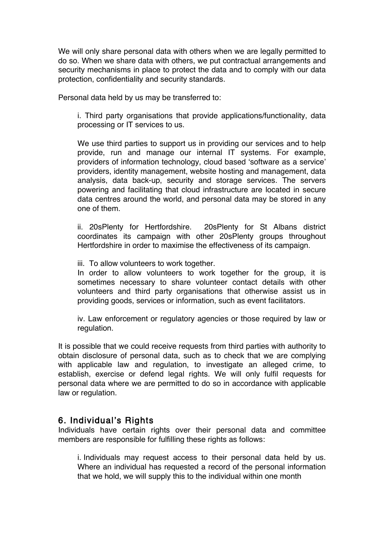We will only share personal data with others when we are legally permitted to do so. When we share data with others, we put contractual arrangements and security mechanisms in place to protect the data and to comply with our data protection, confidentiality and security standards.

Personal data held by us may be transferred to:

i. Third party organisations that provide applications/functionality, data processing or IT services to us.

We use third parties to support us in providing our services and to help provide, run and manage our internal IT systems. For example, providers of information technology, cloud based 'software as a service' providers, identity management, website hosting and management, data analysis, data back-up, security and storage services. The servers powering and facilitating that cloud infrastructure are located in secure data centres around the world, and personal data may be stored in any one of them.

ii. 20sPlenty for Hertfordshire. 20sPlenty for St Albans district coordinates its campaign with other 20sPlenty groups throughout Hertfordshire in order to maximise the effectiveness of its campaign.

iii. To allow volunteers to work together.

In order to allow volunteers to work together for the group, it is sometimes necessary to share volunteer contact details with other volunteers and third party organisations that otherwise assist us in providing goods, services or information, such as event facilitators.

iv. Law enforcement or regulatory agencies or those required by law or regulation.

It is possible that we could receive requests from third parties with authority to obtain disclosure of personal data, such as to check that we are complying with applicable law and regulation, to investigate an alleged crime, to establish, exercise or defend legal rights. We will only fulfil requests for personal data where we are permitted to do so in accordance with applicable law or regulation.

## 6. Individual's Rights

Individuals have certain rights over their personal data and committee members are responsible for fulfilling these rights as follows:

i. Individuals may request access to their personal data held by us. Where an individual has requested a record of the personal information that we hold, we will supply this to the individual within one month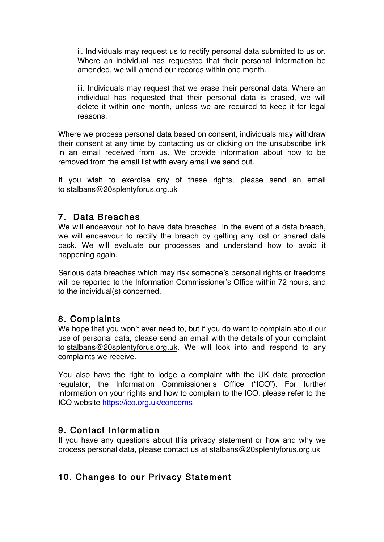ii. Individuals may request us to rectify personal data submitted to us or. Where an individual has requested that their personal information be amended, we will amend our records within one month.

iii. Individuals may request that we erase their personal data. Where an individual has requested that their personal data is erased, we will delete it within one month, unless we are required to keep it for legal reasons.

Where we process personal data based on consent, individuals may withdraw their consent at any time by contacting us or clicking on the unsubscribe link in an email received from us. We provide information about how to be removed from the email list with every email we send out.

If you wish to exercise any of these rights, please send an email to stalbans@20splentyforus.org.uk

## 7. Data Breaches

We will endeavour not to have data breaches. In the event of a data breach, we will endeavour to rectify the breach by getting any lost or shared data back. We will evaluate our processes and understand how to avoid it happening again.

Serious data breaches which may risk someone's personal rights or freedoms will be reported to the Information Commissioner's Office within 72 hours, and to the individual(s) concerned.

## 8. Complaints

We hope that you won't ever need to, but if you do want to complain about our use of personal data, please send an email with the details of your complaint to stalbans@20splentyforus.org.uk. We will look into and respond to any complaints we receive.

You also have the right to lodge a complaint with the UK data protection regulator, the Information Commissioner's Office ("ICO"). For further information on your rights and how to complain to the ICO, please refer to the ICO website https://ico.org.uk/concerns

## 9. Contact Information

If you have any questions about this privacy statement or how and why we process personal data, please contact us at stalbans@20splentyforus.org.uk

# 10. Changes to our Privacy Statement